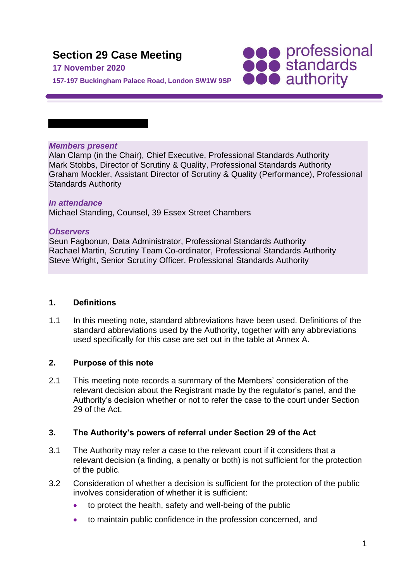# **Section 29 Case Meeting**

# **17 November 2020**

**SOO professional**<br> **SOO standards**<br> **OOO** authority **157-197 Buckingham Palace Road, London SW1W 9SP**

# *Members present*

Alan Clamp (in the Chair), Chief Executive, Professional Standards Authority Mark Stobbs, Director of Scrutiny & Quality, Professional Standards Authority Graham Mockler, Assistant Director of Scrutiny & Quality (Performance), Professional Standards Authority

#### *In attendance*

Michael Standing, Counsel, 39 Essex Street Chambers

#### *Observers*

Seun Fagbonun, Data Administrator, Professional Standards Authority Rachael Martin, Scrutiny Team Co-ordinator, Professional Standards Authority Steve Wright, Senior Scrutiny Officer, Professional Standards Authority

#### **1. Definitions**

1.1 In this meeting note, standard abbreviations have been used. Definitions of the standard abbreviations used by the Authority, together with any abbreviations used specifically for this case are set out in the table at Annex A.

#### **2. Purpose of this note**

2.1 This meeting note records a summary of the Members' consideration of the relevant decision about the Registrant made by the regulator's panel, and the Authority's decision whether or not to refer the case to the court under Section 29 of the Act.

#### **3. The Authority's powers of referral under Section 29 of the Act**

- 3.1 The Authority may refer a case to the relevant court if it considers that a relevant decision (a finding, a penalty or both) is not sufficient for the protection of the public.
- 3.2 Consideration of whether a decision is sufficient for the protection of the public involves consideration of whether it is sufficient:
	- to protect the health, safety and well-being of the public
	- to maintain public confidence in the profession concerned, and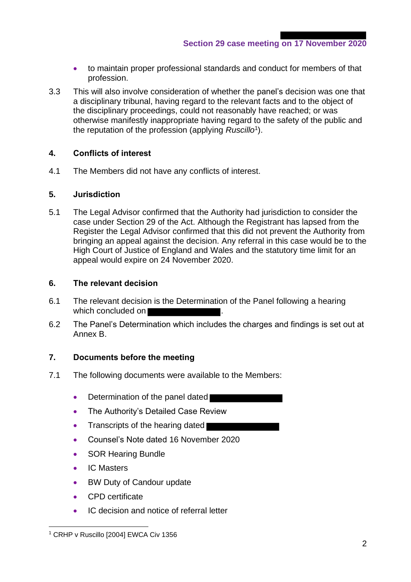- to maintain proper professional standards and conduct for members of that profession.
- 3.3 This will also involve consideration of whether the panel's decision was one that a disciplinary tribunal, having regard to the relevant facts and to the object of the disciplinary proceedings, could not reasonably have reached; or was otherwise manifestly inappropriate having regard to the safety of the public and the reputation of the profession (applying *Ruscillo*<sup>1</sup> ).

# **4. Conflicts of interest**

4.1 The Members did not have any conflicts of interest.

#### **5. Jurisdiction**

5.1 The Legal Advisor confirmed that the Authority had jurisdiction to consider the case under Section 29 of the Act. Although the Registrant has lapsed from the Register the Legal Advisor confirmed that this did not prevent the Authority from bringing an appeal against the decision. Any referral in this case would be to the High Court of Justice of England and Wales and the statutory time limit for an appeal would expire on 24 November 2020.

#### **6. The relevant decision**

- 6.1 The relevant decision is the Determination of the Panel following a hearing which concluded on **Number**
- 6.2 The Panel's Determination which includes the charges and findings is set out at Annex B.

#### **7. Documents before the meeting**

- 7.1 The following documents were available to the Members:
	- Determination of the panel dated
	- The Authority's Detailed Case Review
	- Transcripts of the hearing dated
	- Counsel's Note dated 16 November 2020
	- SOR Hearing Bundle
	- IC Masters
	- BW Duty of Candour update
	- CPD certificate
	- IC decision and notice of referral letter

<sup>&</sup>lt;sup>1</sup> CRHP v Ruscillo [2004] EWCA Civ 1356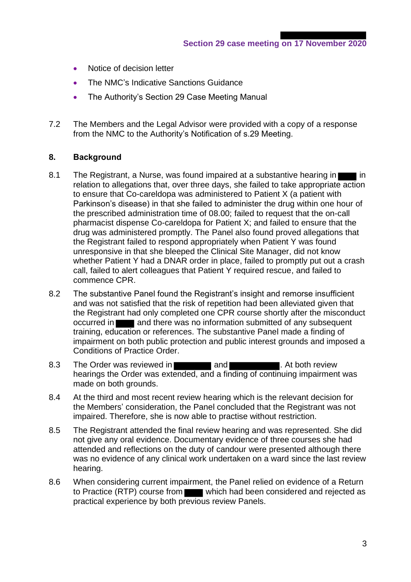- Notice of decision letter
- The NMC's Indicative Sanctions Guidance
- The Authority's Section 29 Case Meeting Manual
- 7.2 The Members and the Legal Advisor were provided with a copy of a response from the NMC to the Authority's Notification of s.29 Meeting.

# **8. Background**

- 8.1 The Registrant, a Nurse, was found impaired at a substantive hearing in relation to allegations that, over three days, she failed to take appropriate action to ensure that Co-careldopa was administered to Patient X (a patient with Parkinson's disease) in that she failed to administer the drug within one hour of the prescribed administration time of 08.00; failed to request that the on-call pharmacist dispense Co-careldopa for Patient X; and failed to ensure that the drug was administered promptly. The Panel also found proved allegations that the Registrant failed to respond appropriately when Patient Y was found unresponsive in that she bleeped the Clinical Site Manager, did not know whether Patient Y had a DNAR order in place, failed to promptly put out a crash call, failed to alert colleagues that Patient Y required rescue, and failed to commence CPR.
- 8.2 The substantive Panel found the Registrant's insight and remorse insufficient and was not satisfied that the risk of repetition had been alleviated given that the Registrant had only completed one CPR course shortly after the misconduct occurred in **and there was no information submitted of any subsequent** training, education or references. The substantive Panel made a finding of impairment on both public protection and public interest grounds and imposed a Conditions of Practice Order.
- 8.3 The Order was reviewed in **the and the and the Contract Contract Contract Contract Contract Contract Contract Contract Contract Contract Contract Contract Contract Contract Contract Contract Contract Contract Contract** hearings the Order was extended, and a finding of continuing impairment was made on both grounds.
- 8.4 At the third and most recent review hearing which is the relevant decision for the Members' consideration, the Panel concluded that the Registrant was not impaired. Therefore, she is now able to practise without restriction.
- 8.5 The Registrant attended the final review hearing and was represented. She did not give any oral evidence. Documentary evidence of three courses she had attended and reflections on the duty of candour were presented although there was no evidence of any clinical work undertaken on a ward since the last review hearing.
- 8.6 When considering current impairment, the Panel relied on evidence of a Return to Practice (RTP) course from which had been considered and rejected as practical experience by both previous review Panels.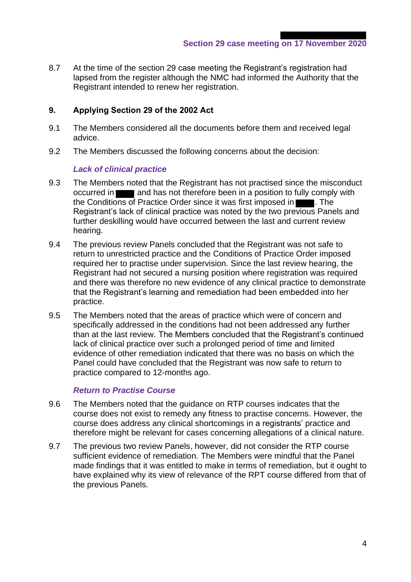**Section 29 case meeting on 17 November 2020**

8.7 At the time of the section 29 case meeting the Registrant's registration had lapsed from the register although the NMC had informed the Authority that the Registrant intended to renew her registration.

# **9. Applying Section 29 of the 2002 Act**

- 9.1 The Members considered all the documents before them and received legal advice.
- 9.2 The Members discussed the following concerns about the decision:

#### *Lack of clinical practice*

- 9.3 The Members noted that the Registrant has not practised since the misconduct occurred in **and has not therefore been in a position to fully comply with** the Conditions of Practice Order since it was first imposed in **Fig. 1.** The Registrant's lack of clinical practice was noted by the two previous Panels and further deskilling would have occurred between the last and current review hearing.
- 9.4 The previous review Panels concluded that the Registrant was not safe to return to unrestricted practice and the Conditions of Practice Order imposed required her to practise under supervision. Since the last review hearing, the Registrant had not secured a nursing position where registration was required and there was therefore no new evidence of any clinical practice to demonstrate that the Registrant's learning and remediation had been embedded into her practice.
- 9.5 The Members noted that the areas of practice which were of concern and specifically addressed in the conditions had not been addressed any further than at the last review. The Members concluded that the Registrant's continued lack of clinical practice over such a prolonged period of time and limited evidence of other remediation indicated that there was no basis on which the Panel could have concluded that the Registrant was now safe to return to practice compared to 12-months ago.

#### *Return to Practise Course*

- 9.6 The Members noted that the guidance on RTP courses indicates that the course does not exist to remedy any fitness to practise concerns. However, the course does address any clinical shortcomings in a registrants' practice and therefore might be relevant for cases concerning allegations of a clinical nature.
- 9.7 The previous two review Panels, however, did not consider the RTP course sufficient evidence of remediation. The Members were mindful that the Panel made findings that it was entitled to make in terms of remediation, but it ought to have explained why its view of relevance of the RPT course differed from that of the previous Panels.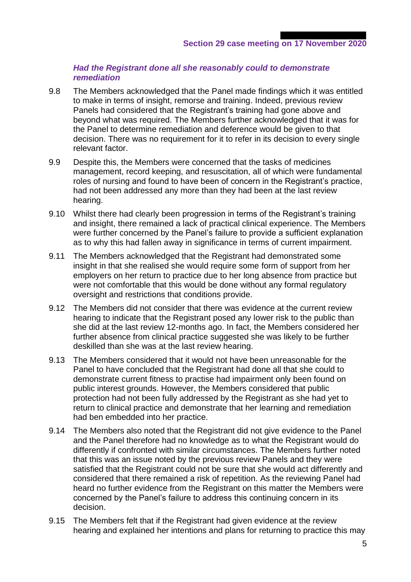#### *Had the Registrant done all she reasonably could to demonstrate remediation*

- 9.8 The Members acknowledged that the Panel made findings which it was entitled to make in terms of insight, remorse and training. Indeed, previous review Panels had considered that the Registrant's training had gone above and beyond what was required. The Members further acknowledged that it was for the Panel to determine remediation and deference would be given to that decision. There was no requirement for it to refer in its decision to every single relevant factor.
- 9.9 Despite this, the Members were concerned that the tasks of medicines management, record keeping, and resuscitation, all of which were fundamental roles of nursing and found to have been of concern in the Registrant's practice, had not been addressed any more than they had been at the last review hearing.
- 9.10 Whilst there had clearly been progression in terms of the Registrant's training and insight, there remained a lack of practical clinical experience. The Members were further concerned by the Panel's failure to provide a sufficient explanation as to why this had fallen away in significance in terms of current impairment.
- 9.11 The Members acknowledged that the Registrant had demonstrated some insight in that she realised she would require some form of support from her employers on her return to practice due to her long absence from practice but were not comfortable that this would be done without any formal regulatory oversight and restrictions that conditions provide.
- 9.12 The Members did not consider that there was evidence at the current review hearing to indicate that the Registrant posed any lower risk to the public than she did at the last review 12-months ago. In fact, the Members considered her further absence from clinical practice suggested she was likely to be further deskilled than she was at the last review hearing.
- 9.13 The Members considered that it would not have been unreasonable for the Panel to have concluded that the Registrant had done all that she could to demonstrate current fitness to practise had impairment only been found on public interest grounds. However, the Members considered that public protection had not been fully addressed by the Registrant as she had yet to return to clinical practice and demonstrate that her learning and remediation had ben embedded into her practice.
- 9.14 The Members also noted that the Registrant did not give evidence to the Panel and the Panel therefore had no knowledge as to what the Registrant would do differently if confronted with similar circumstances. The Members further noted that this was an issue noted by the previous review Panels and they were satisfied that the Registrant could not be sure that she would act differently and considered that there remained a risk of repetition. As the reviewing Panel had heard no further evidence from the Registrant on this matter the Members were concerned by the Panel's failure to address this continuing concern in its decision.
- 9.15 The Members felt that if the Registrant had given evidence at the review hearing and explained her intentions and plans for returning to practice this may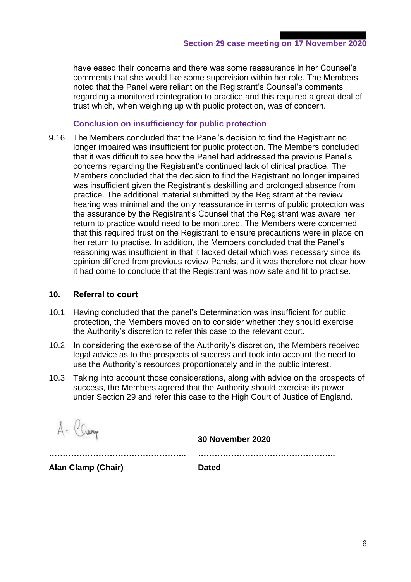have eased their concerns and there was some reassurance in her Counsel's comments that she would like some supervision within her role. The Members noted that the Panel were reliant on the Registrant's Counsel's comments regarding a monitored reintegration to practice and this required a great deal of trust which, when weighing up with public protection, was of concern.

### **Conclusion on insufficiency for public protection**

9.16 The Members concluded that the Panel's decision to find the Registrant no longer impaired was insufficient for public protection. The Members concluded that it was difficult to see how the Panel had addressed the previous Panel's concerns regarding the Registrant's continued lack of clinical practice. The Members concluded that the decision to find the Registrant no longer impaired was insufficient given the Registrant's deskilling and prolonged absence from practice. The additional material submitted by the Registrant at the review hearing was minimal and the only reassurance in terms of public protection was the assurance by the Registrant's Counsel that the Registrant was aware her return to practice would need to be monitored. The Members were concerned that this required trust on the Registrant to ensure precautions were in place on her return to practise. In addition, the Members concluded that the Panel's reasoning was insufficient in that it lacked detail which was necessary since its opinion differed from previous review Panels, and it was therefore not clear how it had come to conclude that the Registrant was now safe and fit to practise.

#### **10. Referral to court**

- 10.1 Having concluded that the panel's Determination was insufficient for public protection, the Members moved on to consider whether they should exercise the Authority's discretion to refer this case to the relevant court.
- 10.2 In considering the exercise of the Authority's discretion, the Members received legal advice as to the prospects of success and took into account the need to use the Authority's resources proportionately and in the public interest.
- 10.3 Taking into account those considerations, along with advice on the prospects of success, the Members agreed that the Authority should exercise its power under Section 29 and refer this case to the High Court of Justice of England.

A- Camp

**30 November 2020**

|     | _ _ _ . _ _ _ |  |
|-----|---------------|--|
|     |               |  |
|     |               |  |
| ___ |               |  |

**Alan Clamp (Chair) Dated**